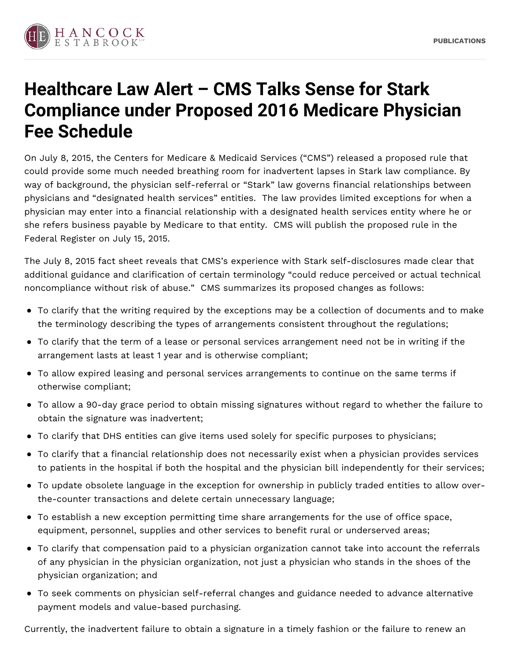

## **Healthcare Law Alert – CMS Talks Sense for Stark Compliance under Proposed 2016 Medicare Physician Fee Schedule**

On July 8, 2015, the Centers for Medicare & Medicaid Services ("CMS") released a proposed rule that could provide some much needed breathing room for inadvertent lapses in Stark law compliance. By way of background, the physician self-referral or "Stark" law governs financial relationships between physicians and "designated health services" entities. The law provides limited exceptions for when a physician may enter into a financial relationship with a designated health services entity where he or she refers business payable by Medicare to that entity. CMS will publish the proposed rule in the Federal Register on July 15, 2015.

The July 8, 2015 fact sheet reveals that CMS's experience with Stark self-disclosures made clear that additional guidance and clarification of certain terminology "could reduce perceived or actual technical noncompliance without risk of abuse." CMS summarizes its proposed changes as follows:

- To clarify that the writing required by the exceptions may be a collection of documents and to make the terminology describing the types of arrangements consistent throughout the regulations;
- To clarify that the term of a lease or personal services arrangement need not be in writing if the arrangement lasts at least 1 year and is otherwise compliant;
- To allow expired leasing and personal services arrangements to continue on the same terms if otherwise compliant;
- To allow a 90-day grace period to obtain missing signatures without regard to whether the failure to obtain the signature was inadvertent;
- To clarify that DHS entities can give items used solely for specific purposes to physicians;
- To clarify that a financial relationship does not necessarily exist when a physician provides services to patients in the hospital if both the hospital and the physician bill independently for their services;
- To update obsolete language in the exception for ownership in publicly traded entities to allow overthe-counter transactions and delete certain unnecessary language;
- To establish a new exception permitting time share arrangements for the use of office space, equipment, personnel, supplies and other services to benefit rural or underserved areas;
- To clarify that compensation paid to a physician organization cannot take into account the referrals of any physician in the physician organization, not just a physician who stands in the shoes of the physician organization; and
- To seek comments on physician self-referral changes and guidance needed to advance alternative payment models and value-based purchasing.

Currently, the inadvertent failure to obtain a signature in a timely fashion or the failure to renew an